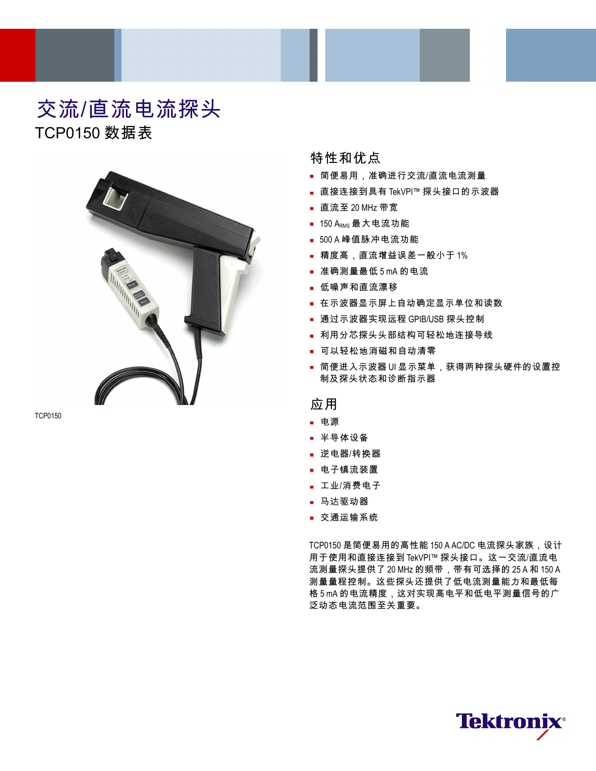# 交流/直流电流探头 TCP0150 数据表



TCP0150

# 特性和优点

- 简便易用,准确进行交流/直流电流测量
- 直接连接到具有 TekVPI™ 探头接口的示波器
- 直流至 20 MHz 带宽
- $-150$  A<sub>RMS</sub> 最大电流功能
- 500 A 峰值脉冲电流功能
- 精度高,直流增益误差一般小于 1%
- 准确测量最低 5 mA 的电流
- 低噪声和直流漂移
- 在示波器显示屏上自动确定显示单位和读数
- 通过示波器实现远程 GPIB/USB 探头控制
- 利用分芯探头头部结构可轻松地连接导线
- 可以轻松地消磁和自动清零
- 简便进入示波器 UI 显示菜单,获得两种探头硬件的设置控 制及探头状态和诊断指示器

# 应用

- 电源
- 半导体设备
- 逆电器/转换器
- 电子镇流装置
- 工业/消费电子
- 马达驱动器
- 交通运输系统

TCP0150 是简便易用的高性能 150 A AC/DC 电流探头家族,设计 用于使用和直接连接到 TekVPI™ 探头接口。这一交流/直流电 流测量探头提供了 20 MHz 的频带,带有可选择的 25 A 和 150 A 测量量程控制。这些探头还提供了低电流测量能力和最低每 格 5 mA 的电流精度,这对实现高电平和低电平测量信号的广 泛动态电流范围至关重要。

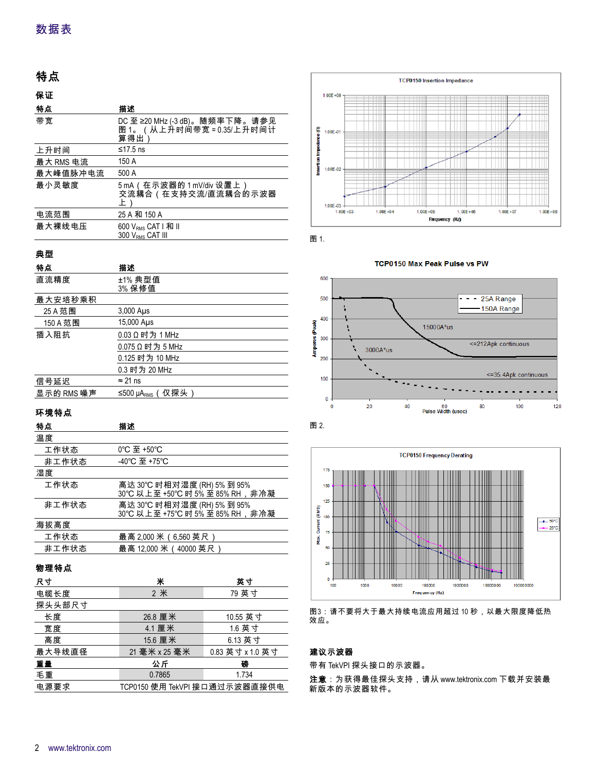# 特点

| 保证        |                                                                  |
|-----------|------------------------------------------------------------------|
| 特点        | 描述                                                               |
| 带宽        | DC 至 ≥20 MHz (-3 dB)。随频率下降。请参见<br>图 1。(从上升时间带宽=0.35/上升时间计<br>算得出 |
| 上升时间      | ≤17.5 ns                                                         |
| 最大 RMS 电流 | 150 A                                                            |
| 最大峰值脉冲电流  | 500 A                                                            |
| 最小灵敏度     | 5 mA(在示波器的 1 mV/div 设置上)<br>交流耦合(在支持交流/直流耦合的示波器<br>上             |
| 电流范围      | 25 A 和 150 A                                                     |
| 最大裸线电压    | 600 V <sub>RMS</sub> CAT   和 II<br>300 V <sub>RMS</sub> CAT III  |

# 典型

| 特点         | 描述                           |
|------------|------------------------------|
| 直流精度       | ±1% 典型值<br>3% 保修值            |
| 最大安培秒乘积    |                              |
| 25 A 范围    | $3,000$ Aus                  |
| 150 A 范围   | 15,000 Aus                   |
| 插入阻抗       | 0.03 Ω 时为 1 MHz              |
|            | $0.075$ Ω 时为 5 MHz           |
|            | 0.125 时为 10 MHz              |
|            | 0.3 时为 20 MHz                |
| 信号延迟       | $\approx$ 21 ns              |
| 显示的 RMS 噪声 | ≤500 µA <sub>rмs</sub> (仅探头) |

# 环境特点

| 特点    | 描述                                                                   |
|-------|----------------------------------------------------------------------|
| 温度    |                                                                      |
| 工作状态  | 0°C 至 +50°C                                                          |
| 非工作状态 | -40°C 至 +75°C                                                        |
| 湿度    |                                                                      |
| 工作状态  | 高达 30℃ 时相对湿度 (RH) 5% 到 95%<br>30℃以上至+50℃时5%至85%RH,非冷凝                |
| 非工作状态 | 高达 30℃ 时相对湿度 (RH) 5% 到 95%<br>30℃ 以 <u>上至 +75℃ 时 5% 至 85% RH,非冷凝</u> |
| 海拔高度  |                                                                      |
| 工作状态  | 最高 2,000 米(6,560 英尺)                                                 |
| 非工作状态 | 最高 12,000 米 (40000 英尺)                                               |

# 物理特点

| 尺寸     | Ж                             | 英寸               |
|--------|-------------------------------|------------------|
| 电缆长度   | 2 米                           | 79 英寸            |
| 探头头部尺寸 |                               |                  |
| 长度     | 26.8 厘米                       | 10.55 英寸         |
| 宽度     | 4.1 厘米                        | 1.6 英寸           |
| 高度     | 15.6 厘米                       | 6.13 英寸          |
| 最大导线直径 | 21 毫米 x 25 毫米                 | 0.83 英寸 x 1.0 英寸 |
| 重量     | 公斤                            | 磅                |
| 毛重     | 0.7865                        | 1.734            |
| 电源要求   | TCP0150 使用 TekVPI 接口通过示波器直接供电 |                  |



图 1.









图3:请不要将大于最大持续电流应用超过 10 秒,以最大限度降低热 效应。

## 建议示波器

带有 TekVPI 探头接口的示波器。

注意:为获得最佳探头支持,请从 [www.tektronix.com](http://www.tektronix.com) 下载并安装最 新版本的示波器软件。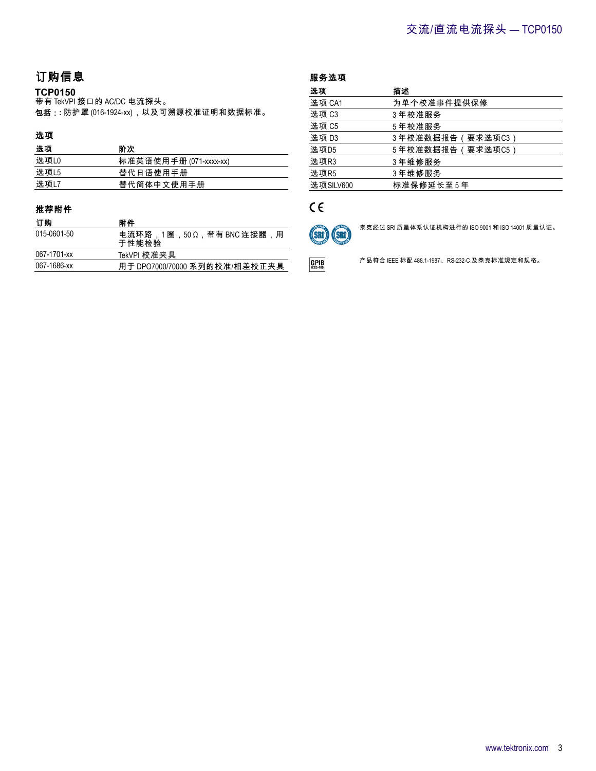# 订购信息

### **TCP0150**

带有 TekVPI 接口的 AC/DC 电流探头。 包括:**:** 防护罩 (016-1924-xx),以及可溯源校准证明和数据标准。

# 选项

| 选项     | 阶次                     |
|--------|------------------------|
| 选项L0   | 标准英语使用手册 (071-xxxx-xx) |
| 选 项 L5 | 替代日语使用手册               |
| 选项L7   | 替代简体中文使用手册             |

### 推荐附件

| 订购          | 附件                                |
|-------------|-----------------------------------|
| 015-0601-50 | 电流环路,1圈,50Ω,带有 BNC 连接器,用<br>于性能检验 |
| 067-1701-xx | TekVPI 校准夹具                       |
| 067-1686-xx | 用于 DPO7000/70000 系列的校准/相差校正夹具     |

| 服务选项      |                   |
|-----------|-------------------|
| 选项        | 描述                |
| 选项 CA1    | 为单个校准事件提供保修       |
| 选项 C3     | 3年校准服务            |
| 选项 C5     | 5年校准服务            |
| 选项 D3     | 3.年校准数据报告(要求选项C3) |
| 选项D5      | 5.年校准数据报告(要求选项C5) |
| 选项R3      | 3年维修服务            |
| 选项R5      | 3年维修服务            |
| 选项SILV600 | 标准保修延长至5年         |

# $C \in$

 $GPIB$ 



泰克经过 SRI 质量体系认证机构进行的 ISO 9001 和 ISO 14001 质量认证。

产品符合 IEEE 标配 488.1-1987、RS-232-C 及泰克标准规定和规格。